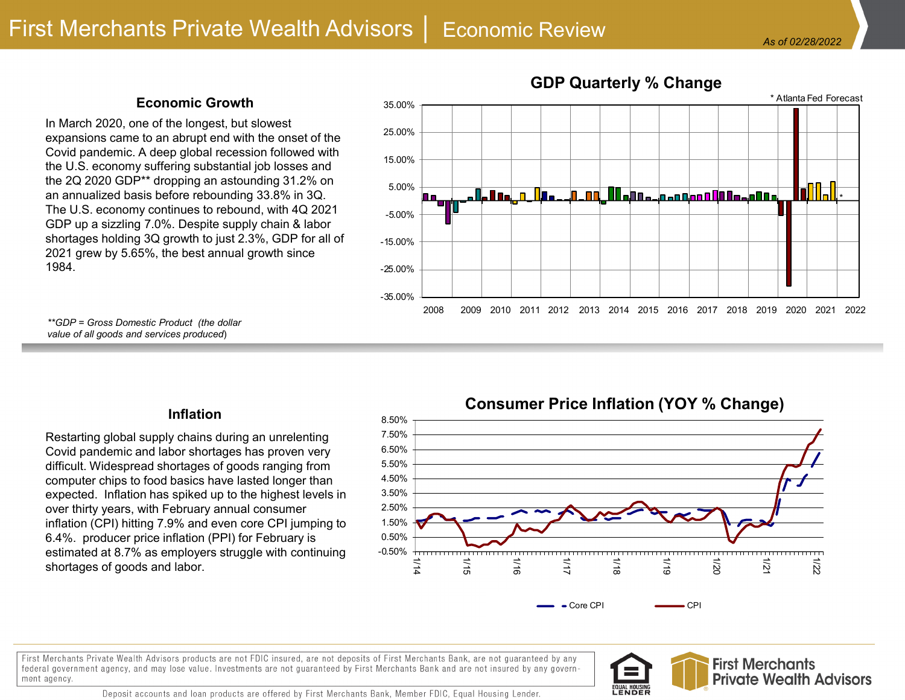## **Economic Growth**

In March 2020, one of the longest, but slowest expansions came to an abrupt end with the onset of the Covid pandemic. A deep global recession followed with the U.S. economy suffering substantial job losses and the 2Q 2020 GDP\*\* dropping an astounding 31.2% on an annualized basis before rebounding 33.8% in 3Q. The U.S. economy continues to rebound, with 4Q 2021 GDP up a sizzling 7.0%. Despite supply chain & labor shortages holding 3Q growth to just 2.3%, GDP for all of 2021 grew by 5.65%, the best annual growth since 1984.



#### *\*\*GDP = Gross Domestic Product (the dollar value of all goods and services produced*)

### **Inflation**

Restarting global supply chains during an unrelenting Covid pandemic and labor shortages has proven very difficult. Widespread shortages of goods ranging from computer chips to food basics have lasted longer than expected. Inflation has spiked up to the highest levels in over thirty years, with February annual consumer inflation (CPI) hitting 7.9% and even core CPI jumping to 6.4%. producer price inflation (PPI) for February is estimated at 8.7% as employers struggle with continuing shortages of goods and labor.

## **Consumer Price Inflation (YOY % Change)**



First Merchants Private Wealth Advisors products are not FDIC insured, are not deposits of First Merchants Bank, are not guaranteed by any federal government agency, and may lose value. Investments are not guaranteed by First Merchants Bank and are not insured by any government agency.

Deposit accounts and loan products are offered by First Merchants Bank, Member FDIC, Equal Housing Lender.



1.50%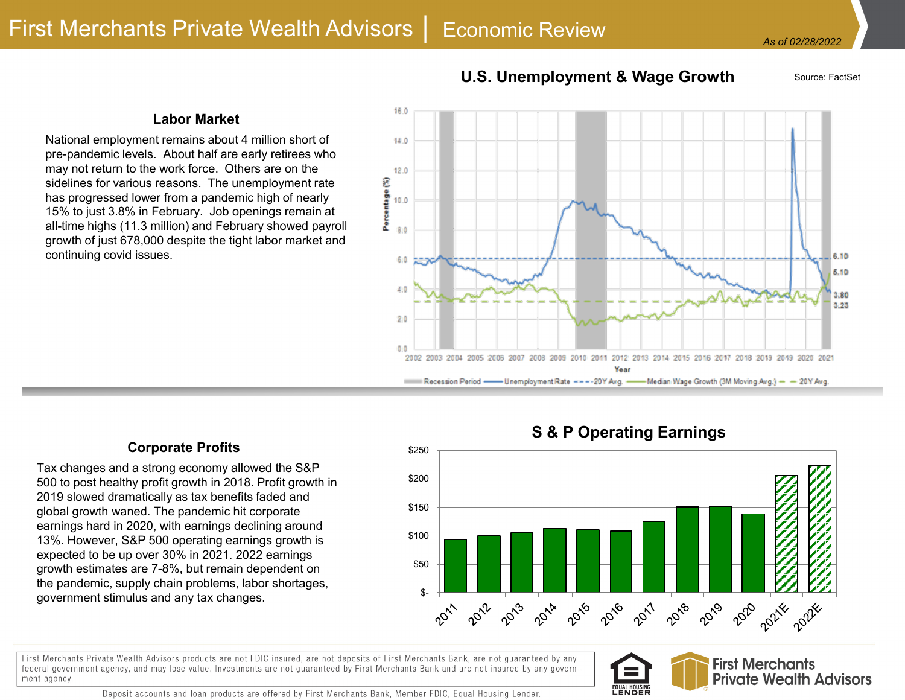# **U.S. Unemployment & Wage Growth** Source: FactSet

#### **Labor Market**

National employment remains about 4 million short of pre-pandemic levels. About half are early retirees who may not return to the work force. Others are on the sidelines for various reasons. The unemployment rate has progressed lower from a pandemic high of nearly 15% to just 3.8% in February. Job openings remain at all-time highs (11.3 million) and February showed payroll growth of just 678,000 despite the tight labor market and continuing covid issues.



### **Corporate Profits**

Tax changes and a strong economy allowed the S&P 500 to post healthy profit growth in 2018. Profit growth in 2019 slowed dramatically as tax benefits faded and global growth waned. The pandemic hit corporate earnings hard in 2020, with earnings declining around 13%. However, S&P 500 operating earnings growth is expected to be up over 30% in 2021. 2022 earnings growth estimates are 7-8%, but remain dependent on the pandemic, supply chain problems, labor shortages, government stimulus and any tax changes.

## **S & P Operating Earnings**



First Merchants Private Wealth Advisors products are not FDIC insured, are not deposits of First Merchants Bank, are not guaranteed by any federal government agency, and may lose value. Investments are not guaranteed by First Merchants Bank and are not insured by any government agency.





Deposit accounts and loan products are offered by First Merchants Bank, Member FDIC, Equal Housing Lender.